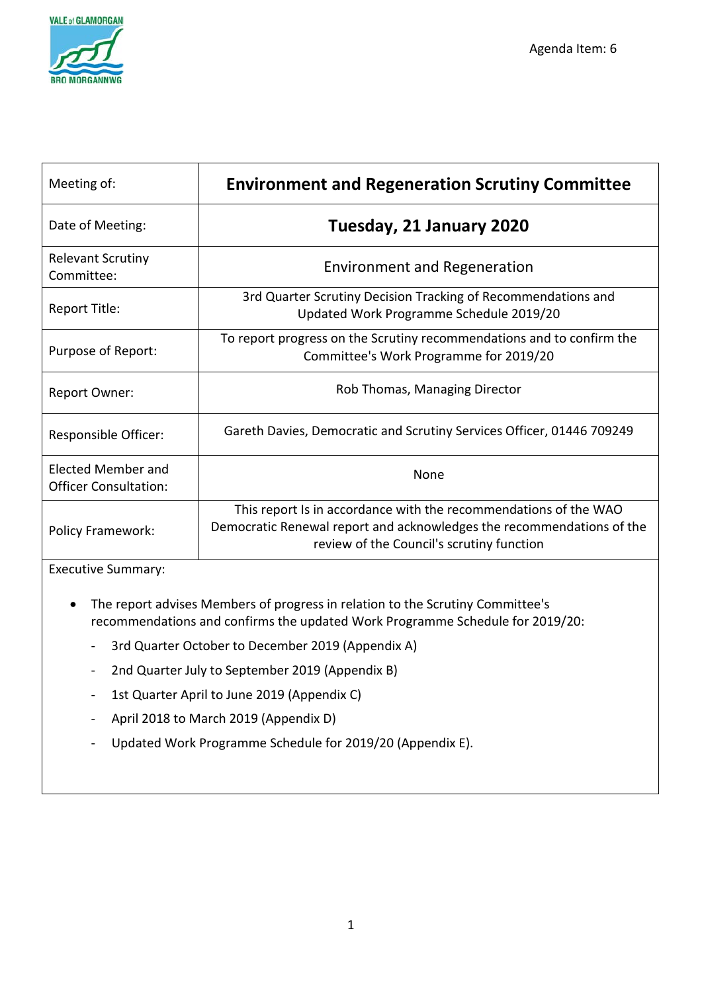

| Meeting of:                                               | <b>Environment and Regeneration Scrutiny Committee</b>                                                                                                                                 |
|-----------------------------------------------------------|----------------------------------------------------------------------------------------------------------------------------------------------------------------------------------------|
| Date of Meeting:                                          | Tuesday, 21 January 2020                                                                                                                                                               |
| <b>Relevant Scrutiny</b><br>Committee:                    | <b>Environment and Regeneration</b>                                                                                                                                                    |
| Report Title:                                             | 3rd Quarter Scrutiny Decision Tracking of Recommendations and<br>Updated Work Programme Schedule 2019/20                                                                               |
| Purpose of Report:                                        | To report progress on the Scrutiny recommendations and to confirm the<br>Committee's Work Programme for 2019/20                                                                        |
| Report Owner:                                             | Rob Thomas, Managing Director                                                                                                                                                          |
| Responsible Officer:                                      | Gareth Davies, Democratic and Scrutiny Services Officer, 01446 709249                                                                                                                  |
| <b>Elected Member and</b><br><b>Officer Consultation:</b> | <b>None</b>                                                                                                                                                                            |
| Policy Framework:                                         | This report Is in accordance with the recommendations of the WAO<br>Democratic Renewal report and acknowledges the recommendations of the<br>review of the Council's scrutiny function |

Executive Summary:

- The report advises Members of progress in relation to the Scrutiny Committee's recommendations and confirms the updated Work Programme Schedule for 2019/20:
	- 3rd Quarter October to December 2019 (Appendix A)
	- 2nd Quarter July to September 2019 (Appendix B)
	- 1st Quarter April to June 2019 (Appendix C)
	- April 2018 to March 2019 (Appendix D)
	- Updated Work Programme Schedule for 2019/20 (Appendix E).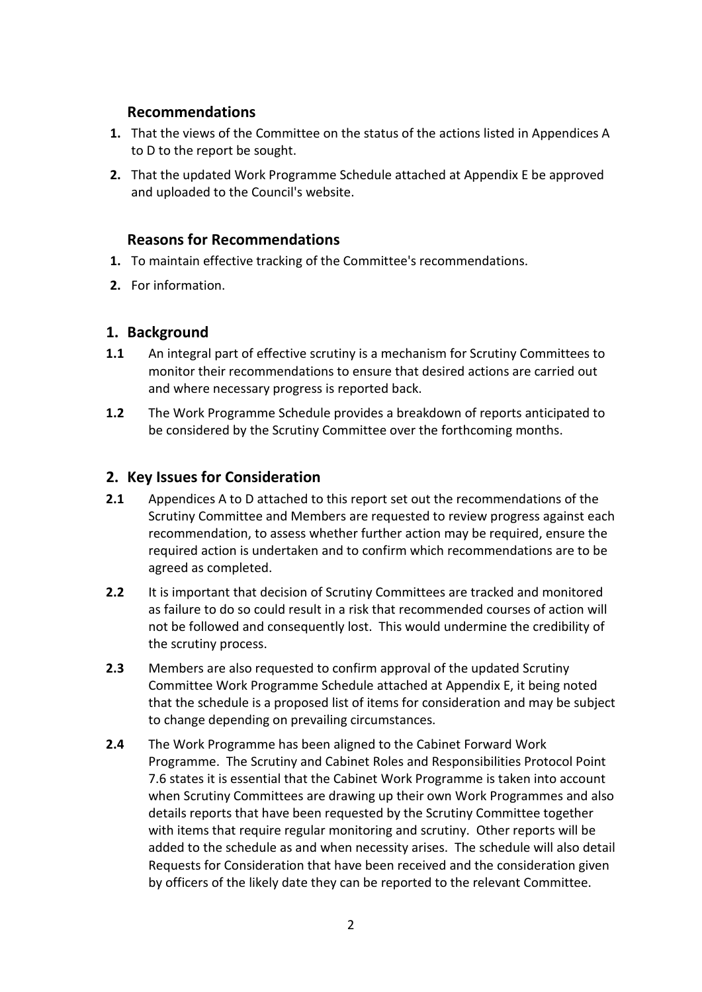### **Recommendations**

- **1.** That the views of the Committee on the status of the actions listed in Appendices A to D to the report be sought.
- **2.** That the updated Work Programme Schedule attached at Appendix E be approved and uploaded to the Council's website.

## **Reasons for Recommendations**

- **1.** To maintain effective tracking of the Committee's recommendations.
- **2.** For information.

### **1. Background**

- **1.1** An integral part of effective scrutiny is a mechanism for Scrutiny Committees to monitor their recommendations to ensure that desired actions are carried out and where necessary progress is reported back.
- **1.2** The Work Programme Schedule provides a breakdown of reports anticipated to be considered by the Scrutiny Committee over the forthcoming months.

### **2. Key Issues for Consideration**

- **2.1** Appendices A to D attached to this report set out the recommendations of the Scrutiny Committee and Members are requested to review progress against each recommendation, to assess whether further action may be required, ensure the required action is undertaken and to confirm which recommendations are to be agreed as completed.
- **2.2** It is important that decision of Scrutiny Committees are tracked and monitored as failure to do so could result in a risk that recommended courses of action will not be followed and consequently lost. This would undermine the credibility of the scrutiny process.
- **2.3** Members are also requested to confirm approval of the updated Scrutiny Committee Work Programme Schedule attached at Appendix E, it being noted that the schedule is a proposed list of items for consideration and may be subject to change depending on prevailing circumstances.
- **2.4** The Work Programme has been aligned to the Cabinet Forward Work Programme. The Scrutiny and Cabinet Roles and Responsibilities Protocol Point 7.6 states it is essential that the Cabinet Work Programme is taken into account when Scrutiny Committees are drawing up their own Work Programmes and also details reports that have been requested by the Scrutiny Committee together with items that require regular monitoring and scrutiny. Other reports will be added to the schedule as and when necessity arises. The schedule will also detail Requests for Consideration that have been received and the consideration given by officers of the likely date they can be reported to the relevant Committee.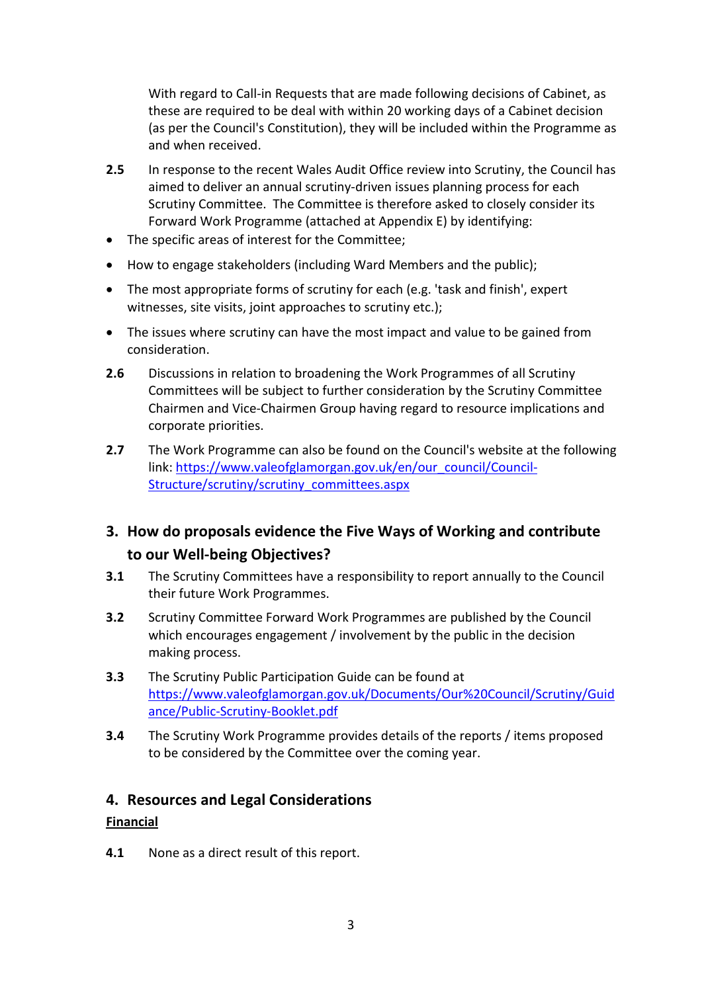With regard to Call-in Requests that are made following decisions of Cabinet, as these are required to be deal with within 20 working days of a Cabinet decision (as per the Council's Constitution), they will be included within the Programme as and when received.

- **2.5** In response to the recent Wales Audit Office review into Scrutiny, the Council has aimed to deliver an annual scrutiny-driven issues planning process for each Scrutiny Committee. The Committee is therefore asked to closely consider its Forward Work Programme (attached at Appendix E) by identifying:
- The specific areas of interest for the Committee;
- How to engage stakeholders (including Ward Members and the public);
- The most appropriate forms of scrutiny for each (e.g. 'task and finish', expert witnesses, site visits, joint approaches to scrutiny etc.);
- The issues where scrutiny can have the most impact and value to be gained from consideration.
- **2.6** Discussions in relation to broadening the Work Programmes of all Scrutiny Committees will be subject to further consideration by the Scrutiny Committee Chairmen and Vice-Chairmen Group having regard to resource implications and corporate priorities.
- **2.7** The Work Programme can also be found on the Council's website at the following link: [https://www.valeofglamorgan.gov.uk/en/our\\_council/Council-](https://www.valeofglamorgan.gov.uk/en/our_council/Council-Structure/scrutiny/scrutiny_committees.aspx)[Structure/scrutiny/scrutiny\\_committees.aspx](https://www.valeofglamorgan.gov.uk/en/our_council/Council-Structure/scrutiny/scrutiny_committees.aspx)

# **3. How do proposals evidence the Five Ways of Working and contribute to our Well-being Objectives?**

- **3.1** The Scrutiny Committees have a responsibility to report annually to the Council their future Work Programmes.
- **3.2** Scrutiny Committee Forward Work Programmes are published by the Council which encourages engagement / involvement by the public in the decision making process.
- **3.3** The Scrutiny Public Participation Guide can be found at [https://www.valeofglamorgan.gov.uk/Documents/Our%20Council/Scrutiny/Guid](https://www.valeofglamorgan.gov.uk/Documents/Our%20Council/Scrutiny/Guidance/Public-Scrutiny-Booklet.pdf) [ance/Public-Scrutiny-Booklet.pdf](https://www.valeofglamorgan.gov.uk/Documents/Our%20Council/Scrutiny/Guidance/Public-Scrutiny-Booklet.pdf)
- **3.4** The Scrutiny Work Programme provides details of the reports / items proposed to be considered by the Committee over the coming year.

# **4. Resources and Legal Considerations**

#### **Financial**

**4.1** None as a direct result of this report.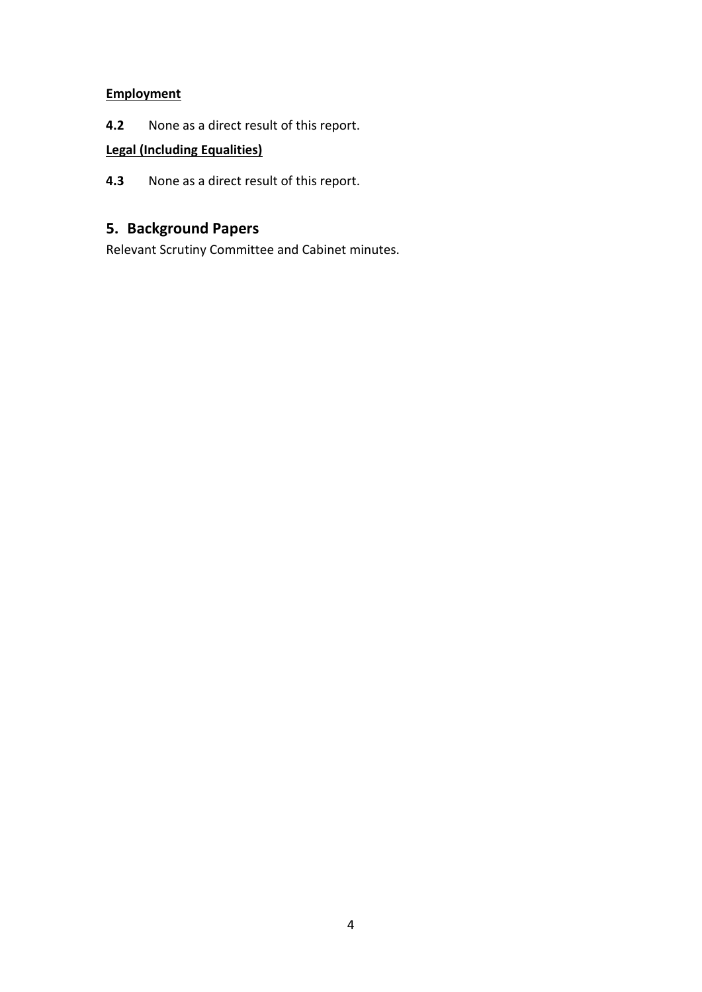# **Employment**

**4.2** None as a direct result of this report.

# **Legal (Including Equalities)**

**4.3** None as a direct result of this report.

# **5. Background Papers**

Relevant Scrutiny Committee and Cabinet minutes.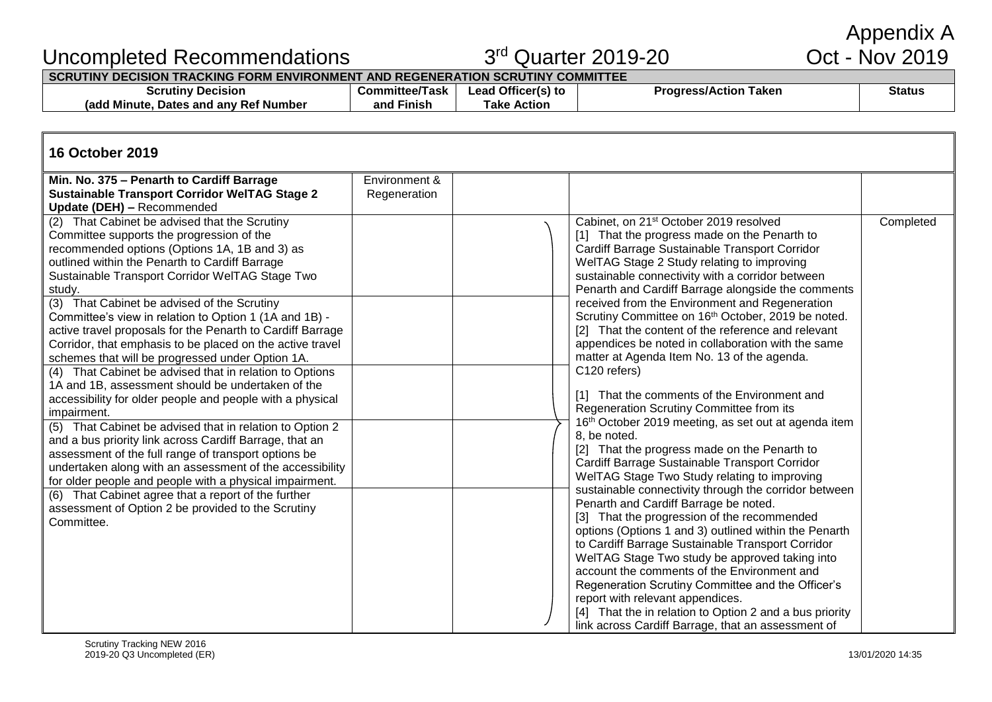Appendix A<br>Oct - Nov 2019

# Uncompleted Recommendations

# $3<sup>rd</sup>$  Quarter 2019-20

**SCRUTINY DECISION TRACKING FORM ENVIRONMENT AND REGENERATION SCRUTINY COMMITTEE**

| Scrutiny<br>Decision                                  | "om∙<br>l ask<br>imitted | $-0.00$<br>_eac<br>лс | Taken<br>$n$ rocc $\cdot$<br><b>Action</b><br>ייטע. | Status |
|-------------------------------------------------------|--------------------------|-----------------------|-----------------------------------------------------|--------|
| Minute<br>Number<br>Ret<br>, and anv<br>Jates<br>rado | .<br>and<br>∽ınısr       | Гаke<br><b>Action</b> |                                                     |        |

# **16 October 2019**

| Min. No. 375 - Penarth to Cardiff Barrage                  | Environment & |                                                                                                            |           |
|------------------------------------------------------------|---------------|------------------------------------------------------------------------------------------------------------|-----------|
| <b>Sustainable Transport Corridor WelTAG Stage 2</b>       | Regeneration  |                                                                                                            |           |
| Update (DEH) - Recommended                                 |               |                                                                                                            |           |
| (2) That Cabinet be advised that the Scrutiny              |               | Cabinet, on 21 <sup>st</sup> October 2019 resolved                                                         | Completed |
| Committee supports the progression of the                  |               | [1] That the progress made on the Penarth to                                                               |           |
| recommended options (Options 1A, 1B and 3) as              |               | Cardiff Barrage Sustainable Transport Corridor                                                             |           |
| outlined within the Penarth to Cardiff Barrage             |               | WelTAG Stage 2 Study relating to improving                                                                 |           |
| Sustainable Transport Corridor WelTAG Stage Two            |               | sustainable connectivity with a corridor between                                                           |           |
| study.                                                     |               | Penarth and Cardiff Barrage alongside the comments                                                         |           |
| (3) That Cabinet be advised of the Scrutiny                |               | received from the Environment and Regeneration                                                             |           |
| Committee's view in relation to Option 1 (1A and 1B) -     |               | Scrutiny Committee on 16 <sup>th</sup> October, 2019 be noted.                                             |           |
| active travel proposals for the Penarth to Cardiff Barrage |               | [2] That the content of the reference and relevant                                                         |           |
| Corridor, that emphasis to be placed on the active travel  |               | appendices be noted in collaboration with the same                                                         |           |
| schemes that will be progressed under Option 1A.           |               | matter at Agenda Item No. 13 of the agenda.                                                                |           |
| (4) That Cabinet be advised that in relation to Options    |               | C120 refers)                                                                                               |           |
| 1A and 1B, assessment should be undertaken of the          |               |                                                                                                            |           |
| accessibility for older people and people with a physical  |               | [1] That the comments of the Environment and                                                               |           |
| impairment.                                                |               | Regeneration Scrutiny Committee from its                                                                   |           |
| (5) That Cabinet be advised that in relation to Option 2   |               | 16th October 2019 meeting, as set out at agenda item                                                       |           |
| and a bus priority link across Cardiff Barrage, that an    |               | 8, be noted.                                                                                               |           |
| assessment of the full range of transport options be       |               | [2] That the progress made on the Penarth to                                                               |           |
| undertaken along with an assessment of the accessibility   |               | Cardiff Barrage Sustainable Transport Corridor                                                             |           |
| for older people and people with a physical impairment.    |               | WelTAG Stage Two Study relating to improving                                                               |           |
| (6) That Cabinet agree that a report of the further        |               | sustainable connectivity through the corridor between                                                      |           |
| assessment of Option 2 be provided to the Scrutiny         |               | Penarth and Cardiff Barrage be noted.                                                                      |           |
| Committee.                                                 |               | [3] That the progression of the recommended                                                                |           |
|                                                            |               | options (Options 1 and 3) outlined within the Penarth<br>to Cardiff Barrage Sustainable Transport Corridor |           |
|                                                            |               | WelTAG Stage Two study be approved taking into                                                             |           |
|                                                            |               | account the comments of the Environment and                                                                |           |
|                                                            |               | Regeneration Scrutiny Committee and the Officer's                                                          |           |
|                                                            |               | report with relevant appendices.                                                                           |           |
|                                                            |               | [4] That the in relation to Option 2 and a bus priority                                                    |           |
|                                                            |               | link across Cardiff Barrage, that an assessment of                                                         |           |
|                                                            |               |                                                                                                            |           |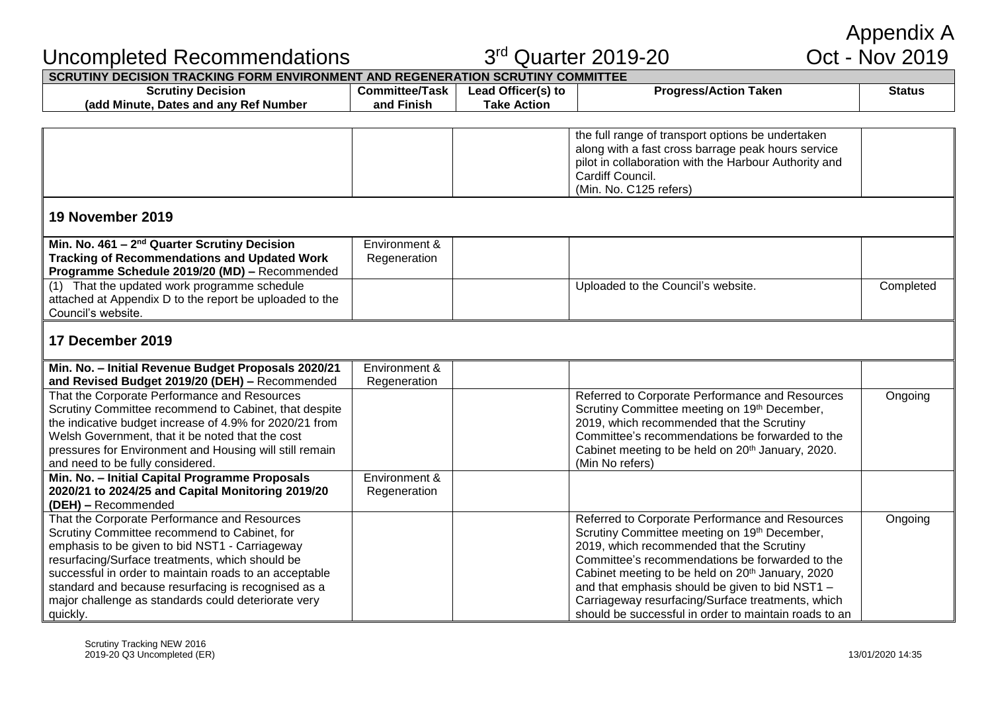$3<sup>rd</sup>$  Quarter 2019-20

# Appendix A<br>Oct - Nov 2019

| <b>Scrutiny Decision</b>                                | <b>Committee/Task</b> | Lead Officer(s) to | <b>Progress/Action Taken</b>                                  | <b>Status</b> |
|---------------------------------------------------------|-----------------------|--------------------|---------------------------------------------------------------|---------------|
| (add Minute, Dates and any Ref Number                   | and Finish            | <b>Take Action</b> |                                                               |               |
|                                                         |                       |                    |                                                               |               |
|                                                         |                       |                    | the full range of transport options be undertaken             |               |
|                                                         |                       |                    | along with a fast cross barrage peak hours service            |               |
|                                                         |                       |                    | pilot in collaboration with the Harbour Authority and         |               |
|                                                         |                       |                    | Cardiff Council.                                              |               |
|                                                         |                       |                    | (Min. No. C125 refers)                                        |               |
| 19 November 2019                                        |                       |                    |                                                               |               |
|                                                         |                       |                    |                                                               |               |
| Min. No. $461 - 2nd$ Quarter Scrutiny Decision          | Environment &         |                    |                                                               |               |
| <b>Tracking of Recommendations and Updated Work</b>     | Regeneration          |                    |                                                               |               |
| Programme Schedule 2019/20 (MD) - Recommended           |                       |                    |                                                               |               |
| (1) That the updated work programme schedule            |                       |                    | Uploaded to the Council's website.                            | Completed     |
| attached at Appendix D to the report be uploaded to the |                       |                    |                                                               |               |
| Council's website.                                      |                       |                    |                                                               |               |
| 17 December 2019                                        |                       |                    |                                                               |               |
|                                                         |                       |                    |                                                               |               |
| Min. No. - Initial Revenue Budget Proposals 2020/21     | Environment &         |                    |                                                               |               |
| and Revised Budget 2019/20 (DEH) - Recommended          | Regeneration          |                    |                                                               |               |
| That the Corporate Performance and Resources            |                       |                    | Referred to Corporate Performance and Resources               | Ongoing       |
| Scrutiny Committee recommend to Cabinet, that despite   |                       |                    | Scrutiny Committee meeting on 19th December,                  |               |
| the indicative budget increase of 4.9% for 2020/21 from |                       |                    | 2019, which recommended that the Scrutiny                     |               |
| Welsh Government, that it be noted that the cost        |                       |                    | Committee's recommendations be forwarded to the               |               |
| pressures for Environment and Housing will still remain |                       |                    | Cabinet meeting to be held on 20 <sup>th</sup> January, 2020. |               |
| and need to be fully considered.                        |                       |                    | (Min No refers)                                               |               |
| Min. No. - Initial Capital Programme Proposals          | Environment &         |                    |                                                               |               |
| 2020/21 to 2024/25 and Capital Monitoring 2019/20       | Regeneration          |                    |                                                               |               |
| (DEH) - Recommended                                     |                       |                    |                                                               |               |
| That the Corporate Performance and Resources            |                       |                    | Referred to Corporate Performance and Resources               | Ongoing       |
| Scrutiny Committee recommend to Cabinet, for            |                       |                    | Scrutiny Committee meeting on 19th December,                  |               |
| emphasis to be given to bid NST1 - Carriageway          |                       |                    | 2019, which recommended that the Scrutiny                     |               |
| resurfacing/Surface treatments, which should be         |                       |                    | Committee's recommendations be forwarded to the               |               |
| successful in order to maintain roads to an acceptable  |                       |                    | Cabinet meeting to be held on 20th January, 2020              |               |
| standard and because resurfacing is recognised as a     |                       |                    | and that emphasis should be given to bid NST1 -               |               |
| major challenge as standards could deteriorate very     |                       |                    | Carriageway resurfacing/Surface treatments, which             |               |
| quickly.                                                |                       |                    | should be successful in order to maintain roads to an         |               |

Uncompleted Recommendations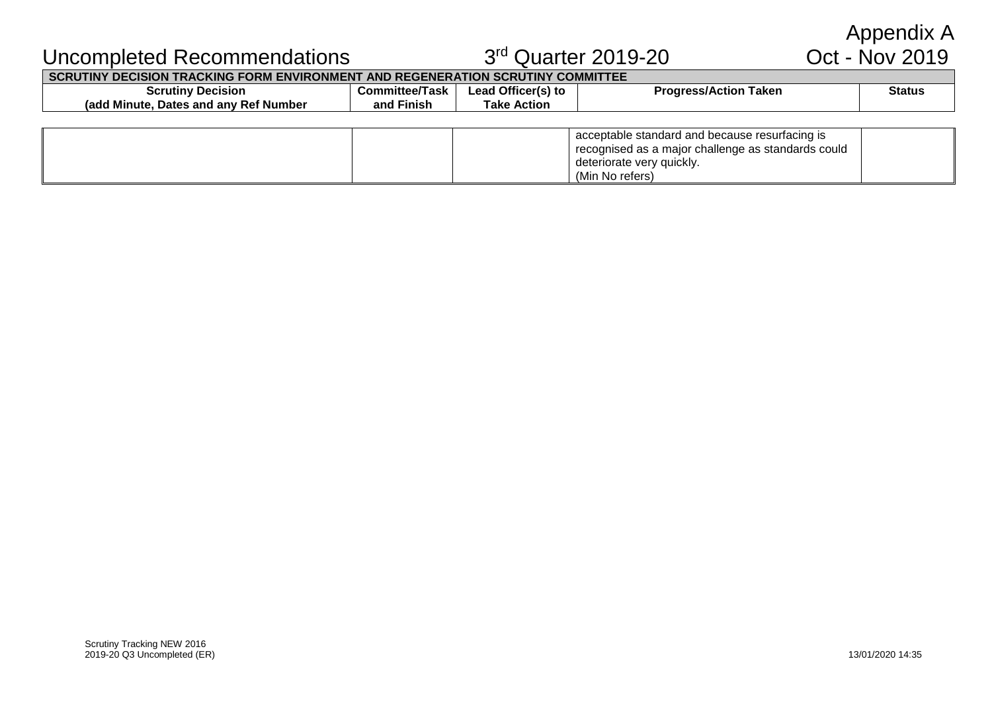Appendix A<br>Oct - Nov 2019

# Uncompleted Recommendations 33

# $3<sup>rd</sup>$  Quarter 2019-20

**SCRUTINY DECISION TRACKING FORM ENVIRONMENT AND REGENERATION SCRUTINY COMMITTEE**

| <b>Scrutiny Decision</b>               | <b>Committee/Task</b> | Lead Officer(s) to | <b>Progress/Action</b><br>Taken | <b>Status</b> |
|----------------------------------------|-----------------------|--------------------|---------------------------------|---------------|
| (add Minute, Dates and any Ref Number) | <b>Finish</b><br>and  | Action<br>™ake     |                                 |               |
|                                        |                       |                    |                                 |               |

| acceptable standard and because resurfacing is<br>  recognised as a major challenge as standards could<br>deteriorate very quickly.<br>(Min No refers) |  |
|--------------------------------------------------------------------------------------------------------------------------------------------------------|--|
|--------------------------------------------------------------------------------------------------------------------------------------------------------|--|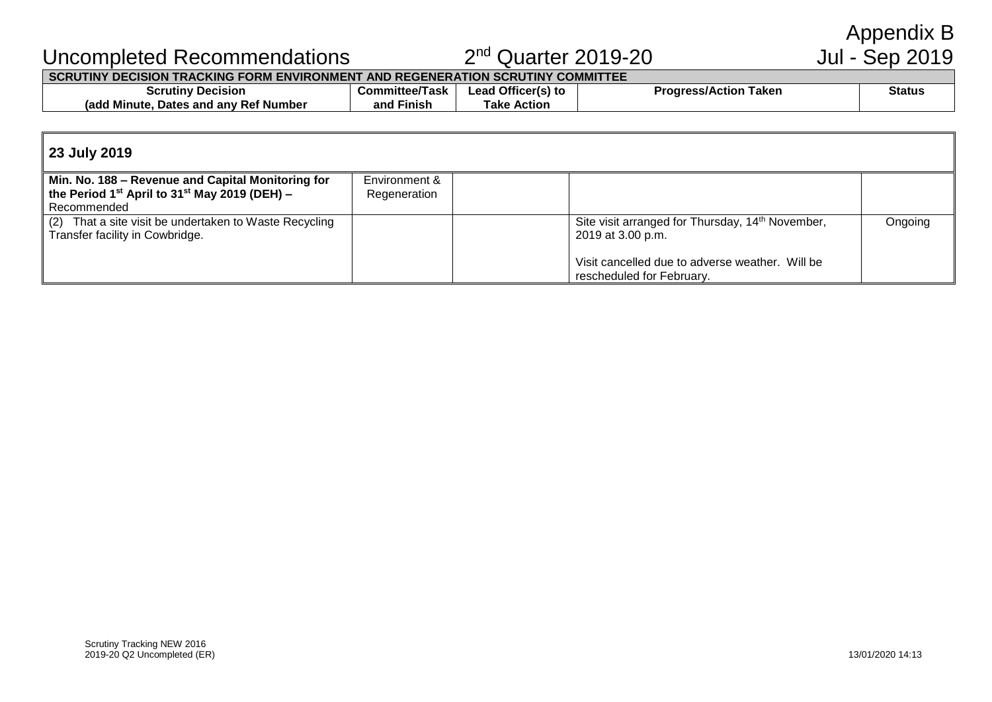Appendix B<br>Jul - Sep 2019

# Uncompleted Recommendations 22

# $2<sup>nd</sup>$  Quarter 2019-20

#### **SCRUTINY DECISION TRACKING FORM ENVIRONMENT AND REGENERATION SCRUTINY COMMITTEE**

| <b>Decision</b>                                    | /Task                | Officer(s) to  | Taken           | Status |
|----------------------------------------------------|----------------------|----------------|-----------------|--------|
| Scrutiny                                           | :ommittee/           | _ead           | 'roaress/Action |        |
| l anv Ref Number<br>radd<br>Minute.<br>Dates and 1 | - -<br>Finish<br>and | Action<br>Гаke |                 |        |

# **23 July 2019**

| Min. No. 188 – Revenue and Capital Monitoring for                                         | Environment & |                                                                                   |         |
|-------------------------------------------------------------------------------------------|---------------|-----------------------------------------------------------------------------------|---------|
| the Period 1 <sup>st</sup> April to 31 <sup>st</sup> May 2019 (DEH) –                     | Regeneration  |                                                                                   |         |
| Recommended                                                                               |               |                                                                                   |         |
| (2) That a site visit be undertaken to Waste Recycling<br>Transfer facility in Cowbridge. |               | Site visit arranged for Thursday, 14 <sup>th</sup> November,<br>2019 at 3.00 p.m. | Ongoing |
|                                                                                           |               | Visit cancelled due to adverse weather. Will be<br>rescheduled for February.      |         |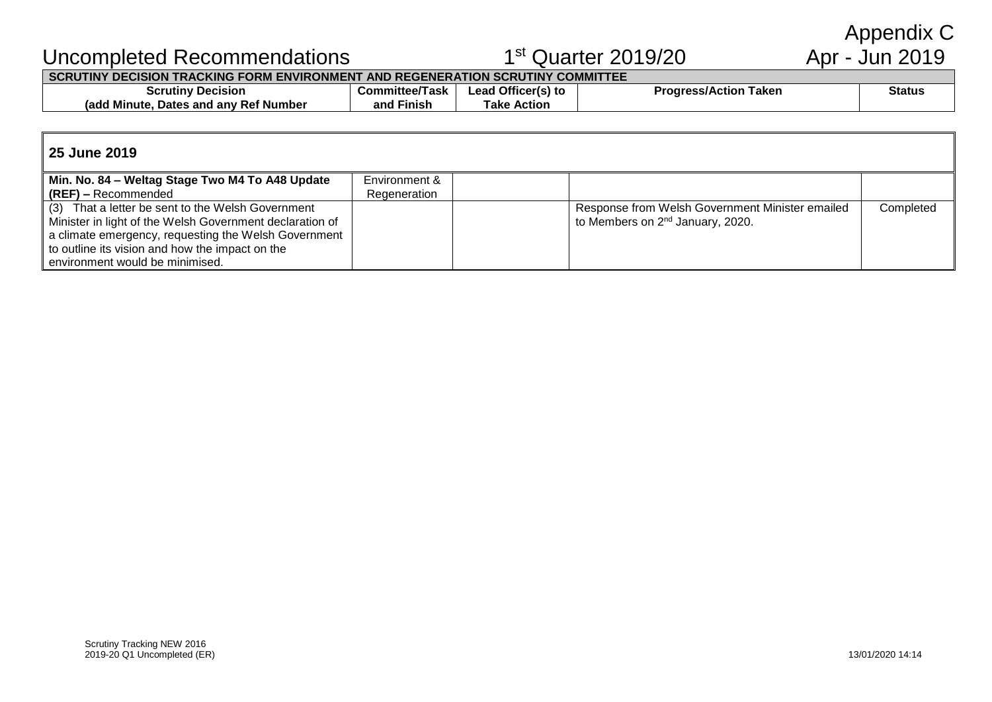Appendix C<br>Apr - Jun 2019

# Uncompleted Recommendations 1

# $1<sup>st</sup>$  Quarter 2019/20

# **SCRUTINY DECISION TRACKING FORM ENVIRONMENT AND REGENERATION SCRUTINY COMMITTEE**

| <sup>,</sup> Decision                          | iittee/Task       | Officer(s) to  | Taken                  | Status |
|------------------------------------------------|-------------------|----------------|------------------------|--------|
| Scrutiny                                       | Committee/        | ead            | <b>Progress/Action</b> |        |
| s and anv Ref Number.<br>(add Minute,<br>Dates | . .<br>and Finish | ™ake<br>Action |                        |        |

#### **25 June 2019**

| Min. No. 84 – Weltag Stage Two M4 To A48 Update          | Environment & |                                                 |           |
|----------------------------------------------------------|---------------|-------------------------------------------------|-----------|
| $(REF)$ – Recommended                                    | Regeneration  |                                                 |           |
| That a letter be sent to the Welsh Government<br>(3)     |               | Response from Welsh Government Minister emailed | Completed |
| Minister in light of the Welsh Government declaration of |               | to Members on 2 <sup>nd</sup> January, 2020.    |           |
| a climate emergency, requesting the Welsh Government     |               |                                                 |           |
| to outline its vision and how the impact on the          |               |                                                 |           |
| environment would be minimised.                          |               |                                                 |           |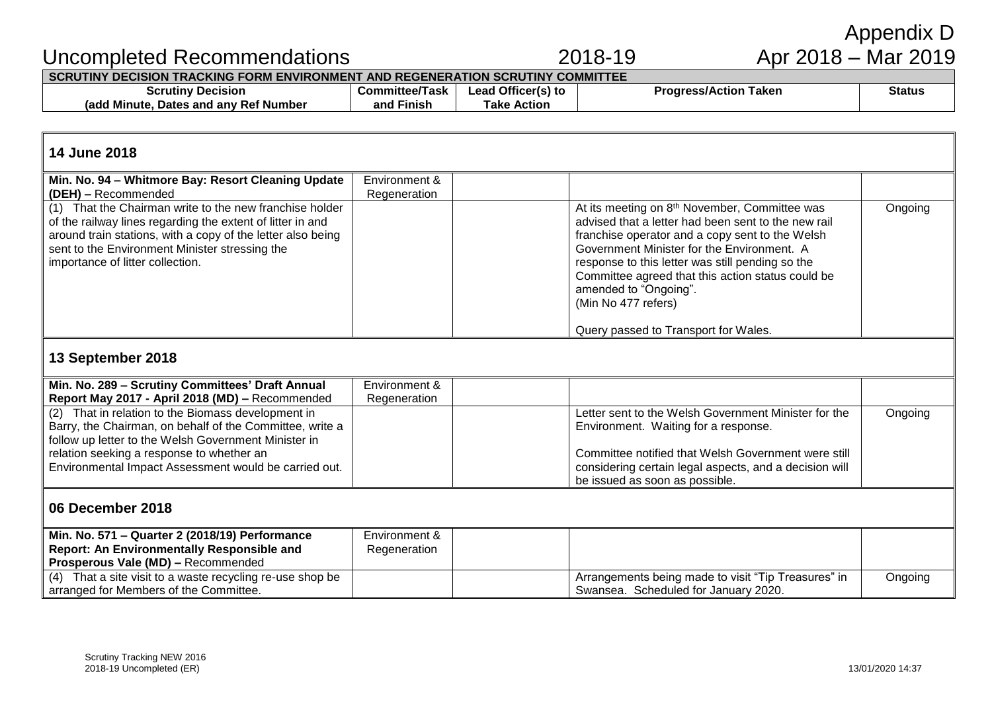| Min. No. 571 - Quarter 2 (2018/19) Performance               | Environment & |  |
|--------------------------------------------------------------|---------------|--|
| Report: An Environmentally Responsible and                   | Regeneration  |  |
| Prosperous Vale (MD) - Recommended                           |               |  |
| That a site visit to a waste recycling re-use shop be<br>(4) |               |  |
| arranged for Members of the Committee.                       |               |  |
|                                                              |               |  |
|                                                              |               |  |
|                                                              |               |  |
|                                                              |               |  |

# **06 December 2018**

| 13 September 2018                                        |               |                                                        |         |
|----------------------------------------------------------|---------------|--------------------------------------------------------|---------|
| Min. No. 289 - Scrutiny Committees' Draft Annual         | Environment & |                                                        |         |
| Report May 2017 - April 2018 (MD) - Recommended          | Regeneration  |                                                        |         |
| (2) That in relation to the Biomass development in       |               | Letter sent to the Welsh Government Minister for the   | Ongoing |
| Barry, the Chairman, on behalf of the Committee, write a |               | Environment. Waiting for a response.                   |         |
| follow up letter to the Welsh Government Minister in     |               |                                                        |         |
| relation seeking a response to whether an                |               | Committee notified that Welsh Government were still    |         |
| Environmental Impact Assessment would be carried out.    |               | considering certain legal aspects, and a decision will |         |
|                                                          |               | be issued as soon as possible.                         |         |
| 00 Baasmhar 0040                                         |               |                                                        |         |

| 14 June 2018                                                                                                                                                                                                                                                               |                               |                                                                                                                                                                                                                                                                                                                                                                            |         |  |
|----------------------------------------------------------------------------------------------------------------------------------------------------------------------------------------------------------------------------------------------------------------------------|-------------------------------|----------------------------------------------------------------------------------------------------------------------------------------------------------------------------------------------------------------------------------------------------------------------------------------------------------------------------------------------------------------------------|---------|--|
| Min. No. 94 - Whitmore Bay: Resort Cleaning Update<br>(DEH) - Recommended                                                                                                                                                                                                  | Environment &<br>Regeneration |                                                                                                                                                                                                                                                                                                                                                                            |         |  |
| (1) That the Chairman write to the new franchise holder<br>of the railway lines regarding the extent of litter in and<br>around train stations, with a copy of the letter also being<br>sent to the Environment Minister stressing the<br>importance of litter collection. |                               | At its meeting on 8 <sup>th</sup> November, Committee was<br>advised that a letter had been sent to the new rail<br>franchise operator and a copy sent to the Welsh<br>Government Minister for the Environment. A<br>response to this letter was still pending so the<br>Committee agreed that this action status could be<br>amended to "Ongoing".<br>(Min No 477 refers) | Ongoing |  |
|                                                                                                                                                                                                                                                                            |                               | Query passed to Transport for Wales.                                                                                                                                                                                                                                                                                                                                       |         |  |

**Lead Officer(s) to Take Action**

**Committee/Task and Finish**

# Uncompleted Recommendations 2018-19 **SCRUTINY DECISION TRACKING FORM ENVIRONMENT AND REGENERATION SCRUTINY COMMITTEE**

**Scrutiny Decision (add Minute, Dates and any Ref Number**

# Appendix D<br>Apr 2018 – Mar 2019

**Progress/Action Taken Status** 

Arrangements being made to visit "Tip Treasures" in

Swansea. Scheduled for January 2020.

**Ongoing**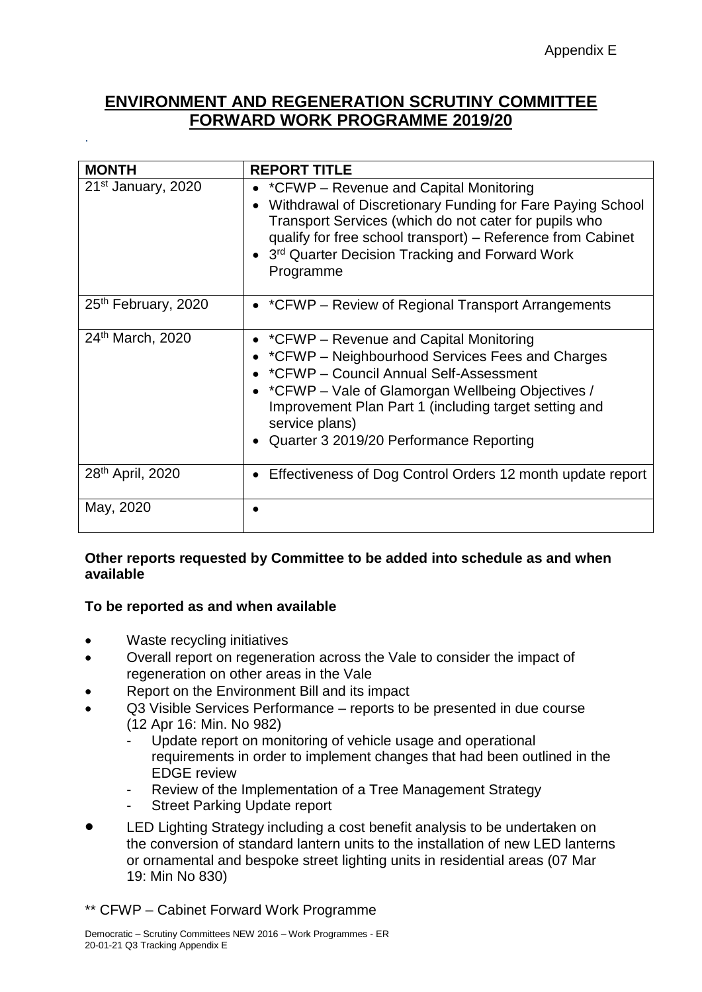# **ENVIRONMENT AND REGENERATION SCRUTINY COMMITTEE FORWARD WORK PROGRAMME 2019/20**

| <b>MONTH</b>                    | <b>REPORT TITLE</b>                                                                                                                                                                                                                                                                                                    |
|---------------------------------|------------------------------------------------------------------------------------------------------------------------------------------------------------------------------------------------------------------------------------------------------------------------------------------------------------------------|
| 21 <sup>st</sup> January, 2020  | • *CFWP – Revenue and Capital Monitoring<br>Withdrawal of Discretionary Funding for Fare Paying School<br>Transport Services (which do not cater for pupils who<br>qualify for free school transport) – Reference from Cabinet<br>3rd Quarter Decision Tracking and Forward Work<br>Programme                          |
| 25 <sup>th</sup> February, 2020 | • *CFWP – Review of Regional Transport Arrangements                                                                                                                                                                                                                                                                    |
| 24th March, 2020                | • * CFWP - Revenue and Capital Monitoring<br>• *CFWP – Neighbourhood Services Fees and Charges<br>*CFWP - Council Annual Self-Assessment<br>• *CFWP – Vale of Glamorgan Wellbeing Objectives /<br>Improvement Plan Part 1 (including target setting and<br>service plans)<br>• Quarter 3 2019/20 Performance Reporting |
| 28 <sup>th</sup> April, 2020    | Effectiveness of Dog Control Orders 12 month update report                                                                                                                                                                                                                                                             |
| May, 2020                       |                                                                                                                                                                                                                                                                                                                        |

### **Other reports requested by Committee to be added into schedule as and when available**

#### **To be reported as and when available**

• Waste recycling initiatives

.

- Overall report on regeneration across the Vale to consider the impact of regeneration on other areas in the Vale
- Report on the Environment Bill and its impact
- Q3 Visible Services Performance reports to be presented in due course (12 Apr 16: Min. No 982)
	- Update report on monitoring of vehicle usage and operational requirements in order to implement changes that had been outlined in the EDGE review
	- Review of the Implementation of a Tree Management Strategy
	- Street Parking Update report
- LED Lighting Strategy including a cost benefit analysis to be undertaken on the conversion of standard lantern units to the installation of new LED lanterns or ornamental and bespoke street lighting units in residential areas (07 Mar 19: Min No 830)

# \*\* CFWP – Cabinet Forward Work Programme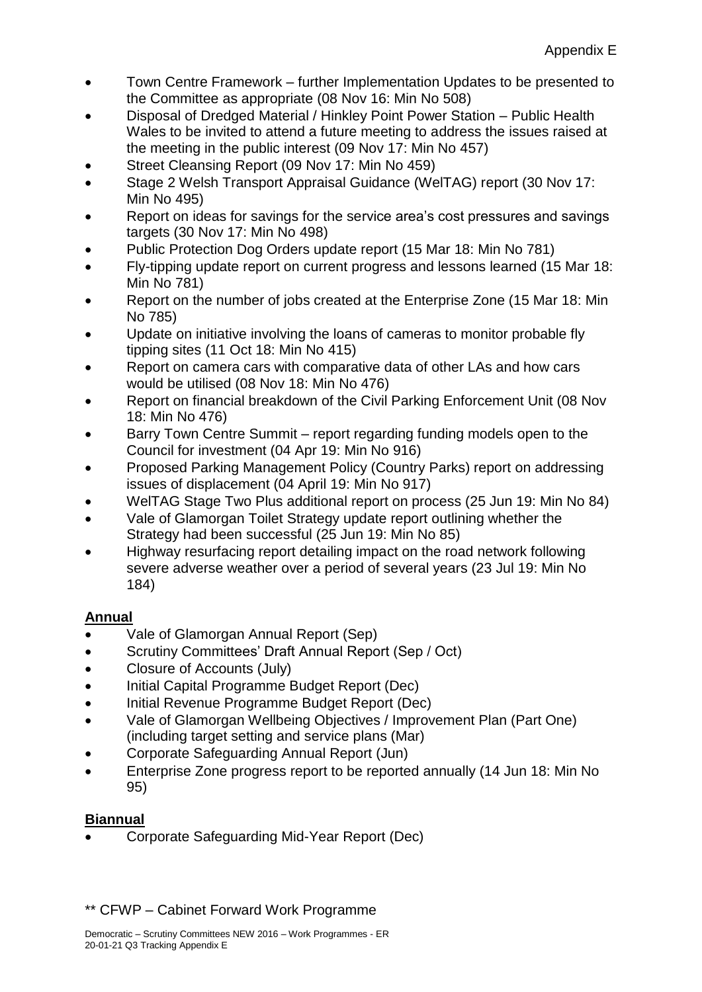- Town Centre Framework further Implementation Updates to be presented to the Committee as appropriate (08 Nov 16: Min No 508)
- Disposal of Dredged Material / Hinkley Point Power Station Public Health Wales to be invited to attend a future meeting to address the issues raised at the meeting in the public interest (09 Nov 17: Min No 457)
- Street Cleansing Report (09 Nov 17: Min No 459)
- Stage 2 Welsh Transport Appraisal Guidance (WelTAG) report (30 Nov 17: Min No 495)
- Report on ideas for savings for the service area's cost pressures and savings targets (30 Nov 17: Min No 498)
- Public Protection Dog Orders update report (15 Mar 18: Min No 781)
- Fly-tipping update report on current progress and lessons learned (15 Mar 18: Min No 781)
- Report on the number of jobs created at the Enterprise Zone (15 Mar 18: Min No 785)
- Update on initiative involving the loans of cameras to monitor probable fly tipping sites (11 Oct 18: Min No 415)
- Report on camera cars with comparative data of other LAs and how cars would be utilised (08 Nov 18: Min No 476)
- Report on financial breakdown of the Civil Parking Enforcement Unit (08 Nov 18: Min No 476)
- Barry Town Centre Summit report regarding funding models open to the Council for investment (04 Apr 19: Min No 916)
- Proposed Parking Management Policy (Country Parks) report on addressing issues of displacement (04 April 19: Min No 917)
- WelTAG Stage Two Plus additional report on process (25 Jun 19: Min No 84)
- Vale of Glamorgan Toilet Strategy update report outlining whether the Strategy had been successful (25 Jun 19: Min No 85)
- Highway resurfacing report detailing impact on the road network following severe adverse weather over a period of several years (23 Jul 19: Min No 184)

# **Annual**

- Vale of Glamorgan Annual Report (Sep)
- Scrutiny Committees' Draft Annual Report (Sep / Oct)
- Closure of Accounts (July)
- Initial Capital Programme Budget Report (Dec)
- Initial Revenue Programme Budget Report (Dec)
- Vale of Glamorgan Wellbeing Objectives / Improvement Plan (Part One) (including target setting and service plans (Mar)
- Corporate Safeguarding Annual Report (Jun)
- Enterprise Zone progress report to be reported annually (14 Jun 18: Min No 95)

# **Biannual**

• Corporate Safeguarding Mid-Year Report (Dec)

# \*\* CFWP – Cabinet Forward Work Programme